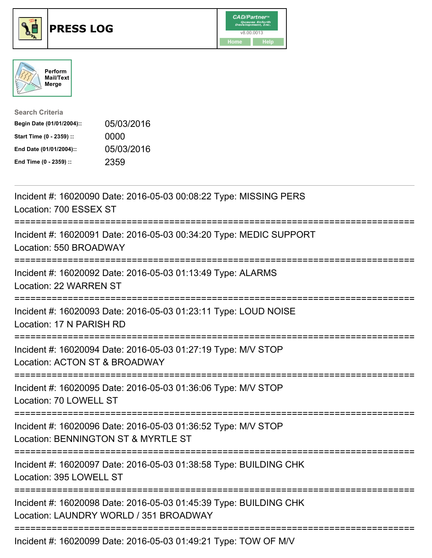





| <b>Search Criteria</b>    |            |
|---------------------------|------------|
| Begin Date (01/01/2004):: | 05/03/2016 |
| Start Time (0 - 2359) ::  | 0000       |
| End Date (01/01/2004)::   | 05/03/2016 |
| End Time (0 - 2359) ::    | 2359       |

| Incident #: 16020090 Date: 2016-05-03 00:08:22 Type: MISSING PERS<br>Location: 700 ESSEX ST                                            |
|----------------------------------------------------------------------------------------------------------------------------------------|
| Incident #: 16020091 Date: 2016-05-03 00:34:20 Type: MEDIC SUPPORT<br>Location: 550 BROADWAY                                           |
| Incident #: 16020092 Date: 2016-05-03 01:13:49 Type: ALARMS<br>Location: 22 WARREN ST                                                  |
| Incident #: 16020093 Date: 2016-05-03 01:23:11 Type: LOUD NOISE<br>Location: 17 N PARISH RD                                            |
| Incident #: 16020094 Date: 2016-05-03 01:27:19 Type: M/V STOP<br>Location: ACTON ST & BROADWAY                                         |
| Incident #: 16020095 Date: 2016-05-03 01:36:06 Type: M/V STOP<br>Location: 70 LOWELL ST                                                |
| Incident #: 16020096 Date: 2016-05-03 01:36:52 Type: M/V STOP<br>Location: BENNINGTON ST & MYRTLE ST<br>============================== |
| Incident #: 16020097 Date: 2016-05-03 01:38:58 Type: BUILDING CHK<br>Location: 395 LOWELL ST<br>-------------------                    |
| Incident #: 16020098 Date: 2016-05-03 01:45:39 Type: BUILDING CHK<br>Location: LAUNDRY WORLD / 351 BROADWAY                            |
| Incident #: 16020099 Date: 2016-05-03 01:49:21 Type: TOW OF M/V                                                                        |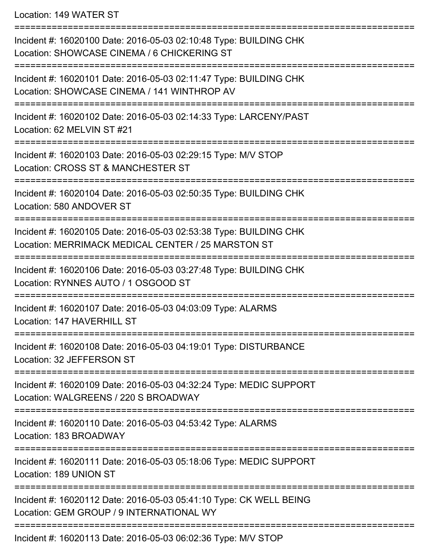Location: 149 WATER ST

=========================================================================== Incident #: 16020100 Date: 2016-05-03 02:10:48 Type: BUILDING CHK Location: SHOWCASE CINEMA / 6 CHICKERING ST =========================================================================== Incident #: 16020101 Date: 2016-05-03 02:11:47 Type: BUILDING CHK Location: SHOWCASE CINEMA / 141 WINTHROP AV =========================================================================== Incident #: 16020102 Date: 2016-05-03 02:14:33 Type: LARCENY/PAST Location: 62 MELVIN ST #21 =========================================================================== Incident #: 16020103 Date: 2016-05-03 02:29:15 Type: M/V STOP Location: CROSS ST & MANCHESTER ST =========================================================================== Incident #: 16020104 Date: 2016-05-03 02:50:35 Type: BUILDING CHK Location: 580 ANDOVER ST =========================================================================== Incident #: 16020105 Date: 2016-05-03 02:53:38 Type: BUILDING CHK Location: MERRIMACK MEDICAL CENTER / 25 MARSTON ST =========================================================================== Incident #: 16020106 Date: 2016-05-03 03:27:48 Type: BUILDING CHK Location: RYNNES AUTO / 1 OSGOOD ST =========================================================================== Incident #: 16020107 Date: 2016-05-03 04:03:09 Type: ALARMS Location: 147 HAVERHILL ST =========================================================================== Incident #: 16020108 Date: 2016-05-03 04:19:01 Type: DISTURBANCE Location: 32 JEFFERSON ST =========================================================================== Incident #: 16020109 Date: 2016-05-03 04:32:24 Type: MEDIC SUPPORT Location: WALGREENS / 220 S BROADWAY =========================================================================== Incident #: 16020110 Date: 2016-05-03 04:53:42 Type: ALARMS Location: 183 BROADWAY =========================================================================== Incident #: 16020111 Date: 2016-05-03 05:18:06 Type: MEDIC SUPPORT Location: 189 UNION ST =========================================================================== Incident #: 16020112 Date: 2016-05-03 05:41:10 Type: CK WELL BEING Location: GEM GROUP / 9 INTERNATIONAL WY =========================================================================== Incident #: 16020113 Date: 2016-05-03 06:02:36 Type: M/V STOP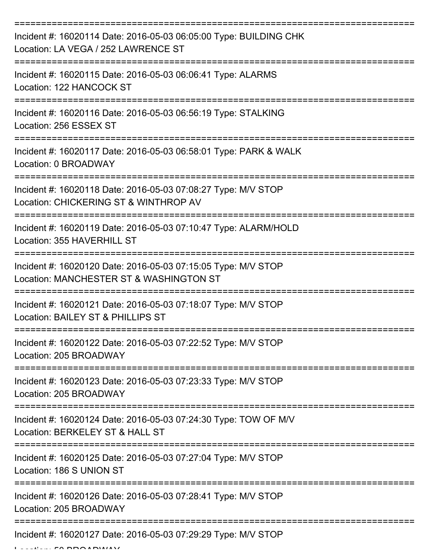| Incident #: 16020114 Date: 2016-05-03 06:05:00 Type: BUILDING CHK<br>Location: LA VEGA / 252 LAWRENCE ST              |
|-----------------------------------------------------------------------------------------------------------------------|
| Incident #: 16020115 Date: 2016-05-03 06:06:41 Type: ALARMS<br>Location: 122 HANCOCK ST                               |
| Incident #: 16020116 Date: 2016-05-03 06:56:19 Type: STALKING<br>Location: 256 ESSEX ST                               |
| Incident #: 16020117 Date: 2016-05-03 06:58:01 Type: PARK & WALK<br>Location: 0 BROADWAY                              |
| Incident #: 16020118 Date: 2016-05-03 07:08:27 Type: M/V STOP<br>Location: CHICKERING ST & WINTHROP AV                |
| ====================<br>Incident #: 16020119 Date: 2016-05-03 07:10:47 Type: ALARM/HOLD<br>Location: 355 HAVERHILL ST |
| Incident #: 16020120 Date: 2016-05-03 07:15:05 Type: M/V STOP<br>Location: MANCHESTER ST & WASHINGTON ST              |
| Incident #: 16020121 Date: 2016-05-03 07:18:07 Type: M/V STOP<br>Location: BAILEY ST & PHILLIPS ST                    |
| Incident #: 16020122 Date: 2016-05-03 07:22:52 Type: M/V STOP<br>Location: 205 BROADWAY                               |
| Incident #: 16020123 Date: 2016-05-03 07:23:33 Type: M/V STOP<br>Location: 205 BROADWAY                               |
| Incident #: 16020124 Date: 2016-05-03 07:24:30 Type: TOW OF M/V<br>Location: BERKELEY ST & HALL ST                    |
| Incident #: 16020125 Date: 2016-05-03 07:27:04 Type: M/V STOP<br>Location: 186 S UNION ST                             |
| Incident #: 16020126 Date: 2016-05-03 07:28:41 Type: M/V STOP<br>Location: 205 BROADWAY                               |
| Incident #: 16020127 Date: 2016-05-03 07:29:29 Type: M/V STOP                                                         |

 $L = L! \cdots 50$  BBOADWAY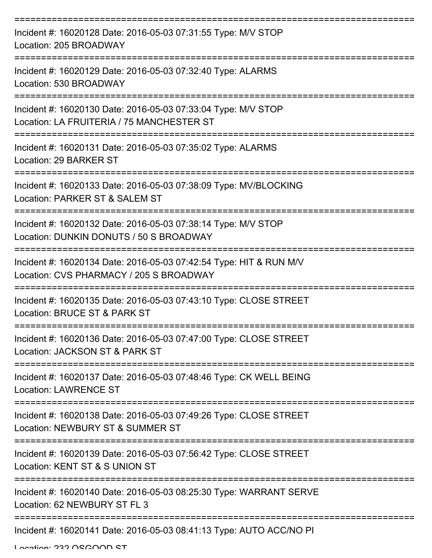| Incident #: 16020128 Date: 2016-05-03 07:31:55 Type: M/V STOP<br>Location: 205 BROADWAY                                                     |
|---------------------------------------------------------------------------------------------------------------------------------------------|
| Incident #: 16020129 Date: 2016-05-03 07:32:40 Type: ALARMS<br>Location: 530 BROADWAY                                                       |
| Incident #: 16020130 Date: 2016-05-03 07:33:04 Type: M/V STOP<br>Location: LA FRUITERIA / 75 MANCHESTER ST<br>===================           |
| Incident #: 16020131 Date: 2016-05-03 07:35:02 Type: ALARMS<br>Location: 29 BARKER ST                                                       |
| Incident #: 16020133 Date: 2016-05-03 07:38:09 Type: MV/BLOCKING<br>Location: PARKER ST & SALEM ST                                          |
| Incident #: 16020132 Date: 2016-05-03 07:38:14 Type: M/V STOP<br>Location: DUNKIN DONUTS / 50 S BROADWAY<br>--------------                  |
| Incident #: 16020134 Date: 2016-05-03 07:42:54 Type: HIT & RUN M/V<br>Location: CVS PHARMACY / 205 S BROADWAY                               |
| Incident #: 16020135 Date: 2016-05-03 07:43:10 Type: CLOSE STREET<br>Location: BRUCE ST & PARK ST                                           |
| Incident #: 16020136 Date: 2016-05-03 07:47:00 Type: CLOSE STREET<br>Location: JACKSON ST & PARK ST                                         |
| Incident #: 16020137 Date: 2016-05-03 07:48:46 Type: CK WELL BEING<br><b>Location: LAWRENCE ST</b>                                          |
| Incident #: 16020138 Date: 2016-05-03 07:49:26 Type: CLOSE STREET<br>Location: NEWBURY ST & SUMMER ST<br>---------------------------------- |
| Incident #: 16020139 Date: 2016-05-03 07:56:42 Type: CLOSE STREET<br>Location: KENT ST & S UNION ST                                         |
| Incident #: 16020140 Date: 2016-05-03 08:25:30 Type: WARRANT SERVE<br>Location: 62 NEWBURY ST FL 3                                          |
| Incident #: 16020141 Date: 2016-05-03 08:41:13 Type: AUTO ACC/NO PI                                                                         |

Location: 232 OSGOOD ST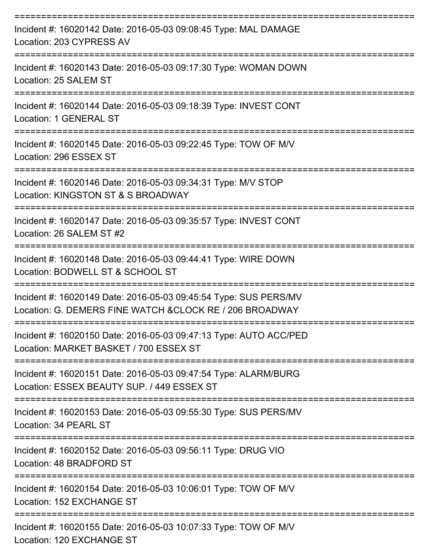| Incident #: 16020142 Date: 2016-05-03 09:08:45 Type: MAL DAMAGE<br>Location: 203 CYPRESS AV                                  |
|------------------------------------------------------------------------------------------------------------------------------|
| Incident #: 16020143 Date: 2016-05-03 09:17:30 Type: WOMAN DOWN<br>Location: 25 SALEM ST                                     |
| Incident #: 16020144 Date: 2016-05-03 09:18:39 Type: INVEST CONT<br>Location: 1 GENERAL ST                                   |
| Incident #: 16020145 Date: 2016-05-03 09:22:45 Type: TOW OF M/V<br>Location: 296 ESSEX ST                                    |
| Incident #: 16020146 Date: 2016-05-03 09:34:31 Type: M/V STOP<br>Location: KINGSTON ST & S BROADWAY                          |
| Incident #: 16020147 Date: 2016-05-03 09:35:57 Type: INVEST CONT<br>Location: 26 SALEM ST #2                                 |
| Incident #: 16020148 Date: 2016-05-03 09:44:41 Type: WIRE DOWN<br>Location: BODWELL ST & SCHOOL ST                           |
| Incident #: 16020149 Date: 2016-05-03 09:45:54 Type: SUS PERS/MV<br>Location: G. DEMERS FINE WATCH & CLOCK RE / 206 BROADWAY |
| Incident #: 16020150 Date: 2016-05-03 09:47:13 Type: AUTO ACC/PED<br>Location: MARKET BASKET / 700 ESSEX ST                  |
| Incident #: 16020151 Date: 2016-05-03 09:47:54 Type: ALARM/BURG<br>Location: ESSEX BEAUTY SUP. / 449 ESSEX ST                |
| Incident #: 16020153 Date: 2016-05-03 09:55:30 Type: SUS PERS/MV<br>Location: 34 PEARL ST                                    |
| Incident #: 16020152 Date: 2016-05-03 09:56:11 Type: DRUG VIO<br>Location: 48 BRADFORD ST                                    |
| Incident #: 16020154 Date: 2016-05-03 10:06:01 Type: TOW OF M/V<br>Location: 152 EXCHANGE ST                                 |
| Incident #: 16020155 Date: 2016-05-03 10:07:33 Type: TOW OF M/V<br>Location: 120 EXCHANGE ST                                 |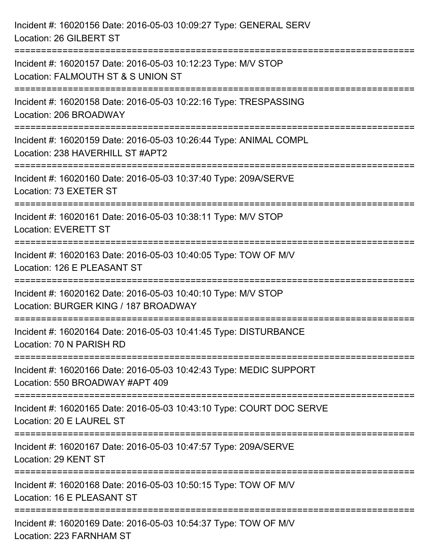| Incident #: 16020156 Date: 2016-05-03 10:09:27 Type: GENERAL SERV<br>Location: 26 GILBERT ST                                   |
|--------------------------------------------------------------------------------------------------------------------------------|
| Incident #: 16020157 Date: 2016-05-03 10:12:23 Type: M/V STOP<br>Location: FALMOUTH ST & S UNION ST<br>:===============        |
| Incident #: 16020158 Date: 2016-05-03 10:22:16 Type: TRESPASSING<br>Location: 206 BROADWAY<br>================================ |
| Incident #: 16020159 Date: 2016-05-03 10:26:44 Type: ANIMAL COMPL<br>Location: 238 HAVERHILL ST #APT2                          |
| Incident #: 16020160 Date: 2016-05-03 10:37:40 Type: 209A/SERVE<br>Location: 73 EXETER ST                                      |
| Incident #: 16020161 Date: 2016-05-03 10:38:11 Type: M/V STOP<br><b>Location: EVERETT ST</b>                                   |
| Incident #: 16020163 Date: 2016-05-03 10:40:05 Type: TOW OF M/V<br>Location: 126 E PLEASANT ST                                 |
| Incident #: 16020162 Date: 2016-05-03 10:40:10 Type: M/V STOP<br>Location: BURGER KING / 187 BROADWAY                          |
| Incident #: 16020164 Date: 2016-05-03 10:41:45 Type: DISTURBANCE<br>Location: 70 N PARISH RD                                   |
| Incident #: 16020166 Date: 2016-05-03 10:42:43 Type: MEDIC SUPPORT<br>Location: 550 BROADWAY #APT 409                          |
| Incident #: 16020165 Date: 2016-05-03 10:43:10 Type: COURT DOC SERVE<br>Location: 20 E LAUREL ST                               |
| Incident #: 16020167 Date: 2016-05-03 10:47:57 Type: 209A/SERVE<br>Location: 29 KENT ST                                        |
| Incident #: 16020168 Date: 2016-05-03 10:50:15 Type: TOW OF M/V<br>Location: 16 E PLEASANT ST                                  |
| Incident #: 16020169 Date: 2016-05-03 10:54:37 Type: TOW OF M/V<br>Location: 223 FARNHAM ST                                    |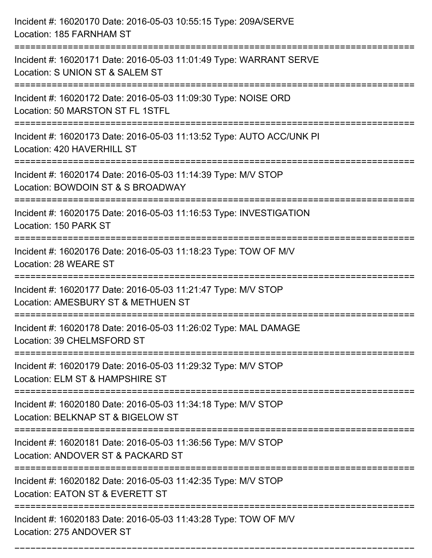| Incident #: 16020170 Date: 2016-05-03 10:55:15 Type: 209A/SERVE<br>Location: 185 FARNHAM ST                                              |
|------------------------------------------------------------------------------------------------------------------------------------------|
| Incident #: 16020171 Date: 2016-05-03 11:01:49 Type: WARRANT SERVE<br>Location: S UNION ST & SALEM ST                                    |
| Incident #: 16020172 Date: 2016-05-03 11:09:30 Type: NOISE ORD<br>Location: 50 MARSTON ST FL 1STFL<br>:================================= |
| Incident #: 16020173 Date: 2016-05-03 11:13:52 Type: AUTO ACC/UNK PI<br>Location: 420 HAVERHILL ST                                       |
| Incident #: 16020174 Date: 2016-05-03 11:14:39 Type: M/V STOP<br>Location: BOWDOIN ST & S BROADWAY                                       |
| Incident #: 16020175 Date: 2016-05-03 11:16:53 Type: INVESTIGATION<br>Location: 150 PARK ST                                              |
| Incident #: 16020176 Date: 2016-05-03 11:18:23 Type: TOW OF M/V<br>Location: 28 WEARE ST                                                 |
| Incident #: 16020177 Date: 2016-05-03 11:21:47 Type: M/V STOP<br>Location: AMESBURY ST & METHUEN ST                                      |
| Incident #: 16020178 Date: 2016-05-03 11:26:02 Type: MAL DAMAGE<br>Location: 39 CHELMSFORD ST                                            |
| Incident #: 16020179 Date: 2016-05-03 11:29:32 Type: M/V STOP<br>Location: ELM ST & HAMPSHIRE ST                                         |
| Incident #: 16020180 Date: 2016-05-03 11:34:18 Type: M/V STOP<br>Location: BELKNAP ST & BIGELOW ST                                       |
| Incident #: 16020181 Date: 2016-05-03 11:36:56 Type: M/V STOP<br>Location: ANDOVER ST & PACKARD ST                                       |
| Incident #: 16020182 Date: 2016-05-03 11:42:35 Type: M/V STOP<br>Location: EATON ST & EVERETT ST                                         |
| Incident #: 16020183 Date: 2016-05-03 11:43:28 Type: TOW OF M/V<br>Location: 275 ANDOVER ST                                              |

===========================================================================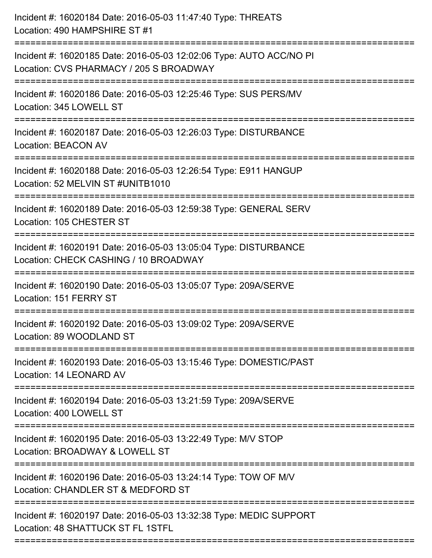| Incident #: 16020184 Date: 2016-05-03 11:47:40 Type: THREATS<br>Location: 490 HAMPSHIRE ST #1                                |
|------------------------------------------------------------------------------------------------------------------------------|
| Incident #: 16020185 Date: 2016-05-03 12:02:06 Type: AUTO ACC/NO PI<br>Location: CVS PHARMACY / 205 S BROADWAY               |
| Incident #: 16020186 Date: 2016-05-03 12:25:46 Type: SUS PERS/MV<br>Location: 345 LOWELL ST                                  |
| Incident #: 16020187 Date: 2016-05-03 12:26:03 Type: DISTURBANCE<br><b>Location: BEACON AV</b>                               |
| Incident #: 16020188 Date: 2016-05-03 12:26:54 Type: E911 HANGUP<br>Location: 52 MELVIN ST #UNITB1010<br>:================== |
| Incident #: 16020189 Date: 2016-05-03 12:59:38 Type: GENERAL SERV<br>Location: 105 CHESTER ST                                |
| Incident #: 16020191 Date: 2016-05-03 13:05:04 Type: DISTURBANCE<br>Location: CHECK CASHING / 10 BROADWAY                    |
| Incident #: 16020190 Date: 2016-05-03 13:05:07 Type: 209A/SERVE<br>Location: 151 FERRY ST                                    |
| Incident #: 16020192 Date: 2016-05-03 13:09:02 Type: 209A/SERVE<br>Location: 89 WOODLAND ST                                  |
| Incident #: 16020193 Date: 2016-05-03 13:15:46 Type: DOMESTIC/PAST<br>Location: 14 LEONARD AV                                |
| Incident #: 16020194 Date: 2016-05-03 13:21:59 Type: 209A/SERVE<br>Location: 400 LOWELL ST                                   |
| Incident #: 16020195 Date: 2016-05-03 13:22:49 Type: M/V STOP<br>Location: BROADWAY & LOWELL ST                              |
| Incident #: 16020196 Date: 2016-05-03 13:24:14 Type: TOW OF M/V<br>Location: CHANDLER ST & MEDFORD ST                        |
| Incident #: 16020197 Date: 2016-05-03 13:32:38 Type: MEDIC SUPPORT<br>Location: 48 SHATTUCK ST FL 1STFL                      |
|                                                                                                                              |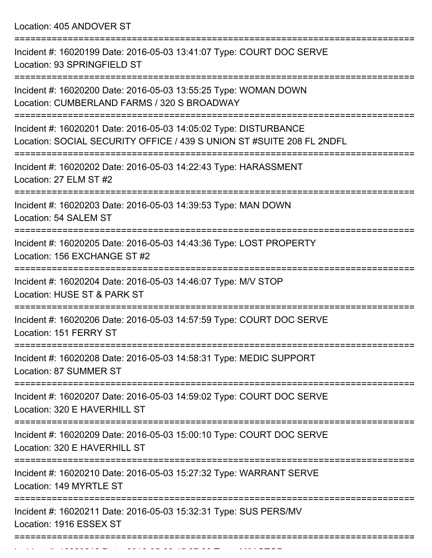Location: 405 ANDOVER ST

| Incident #: 16020199 Date: 2016-05-03 13:41:07 Type: COURT DOC SERVE<br>Location: 93 SPRINGFIELD ST                                       |
|-------------------------------------------------------------------------------------------------------------------------------------------|
| Incident #: 16020200 Date: 2016-05-03 13:55:25 Type: WOMAN DOWN<br>Location: CUMBERLAND FARMS / 320 S BROADWAY                            |
| Incident #: 16020201 Date: 2016-05-03 14:05:02 Type: DISTURBANCE<br>Location: SOCIAL SECURITY OFFICE / 439 S UNION ST #SUITE 208 FL 2NDFL |
| Incident #: 16020202 Date: 2016-05-03 14:22:43 Type: HARASSMENT<br>Location: 27 ELM ST #2                                                 |
| Incident #: 16020203 Date: 2016-05-03 14:39:53 Type: MAN DOWN<br>Location: 54 SALEM ST                                                    |
| Incident #: 16020205 Date: 2016-05-03 14:43:36 Type: LOST PROPERTY<br>Location: 156 EXCHANGE ST #2                                        |
| Incident #: 16020204 Date: 2016-05-03 14:46:07 Type: M/V STOP<br>Location: HUSE ST & PARK ST                                              |
| Incident #: 16020206 Date: 2016-05-03 14:57:59 Type: COURT DOC SERVE<br>Location: 151 FERRY ST                                            |
| Incident #: 16020208 Date: 2016-05-03 14:58:31 Type: MEDIC SUPPORT<br>Location: 87 SUMMER ST                                              |
| :=================<br>Incident #: 16020207 Date: 2016-05-03 14:59:02 Type: COURT DOC SERVE<br>Location: 320 E HAVERHILL ST                |
| Incident #: 16020209 Date: 2016-05-03 15:00:10 Type: COURT DOC SERVE<br>Location: 320 E HAVERHILL ST                                      |
| Incident #: 16020210 Date: 2016-05-03 15:27:32 Type: WARRANT SERVE<br>Location: 149 MYRTLE ST                                             |
| Incident #: 16020211 Date: 2016-05-03 15:32:31 Type: SUS PERS/MV<br>Location: 1916 ESSEX ST                                               |
|                                                                                                                                           |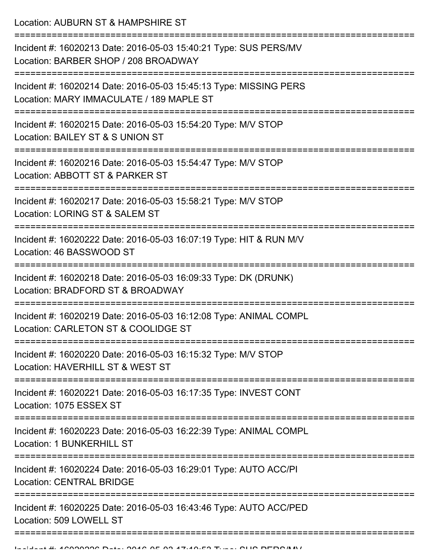Location: AUBURN ST & HAMPSHIRE ST

=========================================================================== Incident #: 16020213 Date: 2016-05-03 15:40:21 Type: SUS PERS/MV Location: BARBER SHOP / 208 BROADWAY =========================================================================== Incident #: 16020214 Date: 2016-05-03 15:45:13 Type: MISSING PERS Location: MARY IMMACULATE / 189 MAPLE ST =========================================================================== Incident #: 16020215 Date: 2016-05-03 15:54:20 Type: M/V STOP Location: BAILEY ST & S UNION ST =========================================================================== Incident #: 16020216 Date: 2016-05-03 15:54:47 Type: M/V STOP Location: ABBOTT ST & PARKER ST =========================================================================== Incident #: 16020217 Date: 2016-05-03 15:58:21 Type: M/V STOP Location: LORING ST & SALEM ST =========================================================================== Incident #: 16020222 Date: 2016-05-03 16:07:19 Type: HIT & RUN M/V Location: 46 BASSWOOD ST =========================================================================== Incident #: 16020218 Date: 2016-05-03 16:09:33 Type: DK (DRUNK) Location: BRADFORD ST & BROADWAY =========================================================================== Incident #: 16020219 Date: 2016-05-03 16:12:08 Type: ANIMAL COMPL Location: CARLETON ST & COOLIDGE ST =========================================================================== Incident #: 16020220 Date: 2016-05-03 16:15:32 Type: M/V STOP Location: HAVERHILL ST & WEST ST =========================================================================== Incident #: 16020221 Date: 2016-05-03 16:17:35 Type: INVEST CONT Location: 1075 ESSEX ST =========================================================================== Incident #: 16020223 Date: 2016-05-03 16:22:39 Type: ANIMAL COMPL Location: 1 BUNKERHILL ST =========================================================================== Incident #: 16020224 Date: 2016-05-03 16:29:01 Type: AUTO ACC/PI Location: CENTRAL BRIDGE =========================================================================== Incident #: 16020225 Date: 2016-05-03 16:43:46 Type: AUTO ACC/PED Location: 509 LOWELL ST ===========================================================================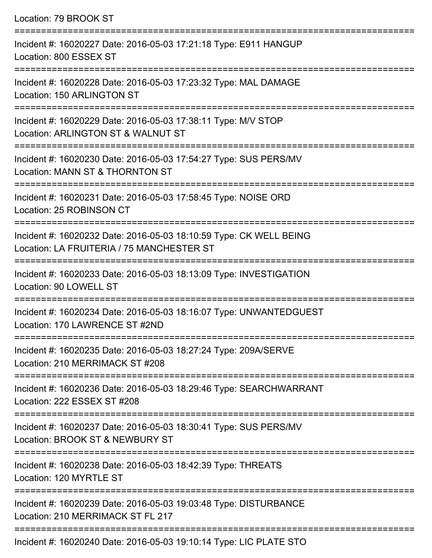Location: 79 BROOK ST =========================================================================== Incident #: 16020227 Date: 2016-05-03 17:21:18 Type: E911 HANGUP Location: 800 ESSEX ST =========================================================================== Incident #: 16020228 Date: 2016-05-03 17:23:32 Type: MAL DAMAGE Location: 150 ARLINGTON ST =========================================================================== Incident #: 16020229 Date: 2016-05-03 17:38:11 Type: M/V STOP Location: ARLINGTON ST & WALNUT ST =========================================================================== Incident #: 16020230 Date: 2016-05-03 17:54:27 Type: SUS PERS/MV Location: MANN ST & THORNTON ST =========================================================================== Incident #: 16020231 Date: 2016-05-03 17:58:45 Type: NOISE ORD Location: 25 ROBINSON CT =========================================================================== Incident #: 16020232 Date: 2016-05-03 18:10:59 Type: CK WELL BEING Location: LA FRUITERIA / 75 MANCHESTER ST =========================================================================== Incident #: 16020233 Date: 2016-05-03 18:13:09 Type: INVESTIGATION Location: 90 LOWELL ST =========================================================================== Incident #: 16020234 Date: 2016-05-03 18:16:07 Type: UNWANTEDGUEST Location: 170 LAWRENCE ST #2ND =========================================================================== Incident #: 16020235 Date: 2016-05-03 18:27:24 Type: 209A/SERVE Location: 210 MERRIMACK ST #208 =========================================================================== Incident #: 16020236 Date: 2016-05-03 18:29:46 Type: SEARCHWARRANT Location: 222 ESSEX ST #208 =========================================================================== Incident #: 16020237 Date: 2016-05-03 18:30:41 Type: SUS PERS/MV Location: BROOK ST & NEWBURY ST =========================================================================== Incident #: 16020238 Date: 2016-05-03 18:42:39 Type: THREATS Location: 120 MYRTLE ST =========================================================================== Incident #: 16020239 Date: 2016-05-03 19:03:48 Type: DISTURBANCE Location: 210 MERRIMACK ST FL 217 ===========================================================================

Incident #: 16020240 Date: 2016-05-03 19:10:14 Type: LIC PLATE STO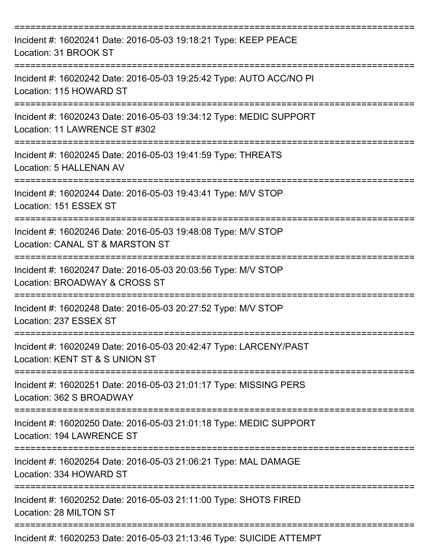| Incident #: 16020241 Date: 2016-05-03 19:18:21 Type: KEEP PEACE<br>Location: 31 BROOK ST            |
|-----------------------------------------------------------------------------------------------------|
| Incident #: 16020242 Date: 2016-05-03 19:25:42 Type: AUTO ACC/NO PI<br>Location: 115 HOWARD ST      |
| Incident #: 16020243 Date: 2016-05-03 19:34:12 Type: MEDIC SUPPORT<br>Location: 11 LAWRENCE ST #302 |
| Incident #: 16020245 Date: 2016-05-03 19:41:59 Type: THREATS<br>Location: 5 HALLENAN AV             |
| Incident #: 16020244 Date: 2016-05-03 19:43:41 Type: M/V STOP<br>Location: 151 ESSEX ST             |
| Incident #: 16020246 Date: 2016-05-03 19:48:08 Type: M/V STOP<br>Location: CANAL ST & MARSTON ST    |
| Incident #: 16020247 Date: 2016-05-03 20:03:56 Type: M/V STOP<br>Location: BROADWAY & CROSS ST      |
| Incident #: 16020248 Date: 2016-05-03 20:27:52 Type: M/V STOP<br>Location: 237 ESSEX ST             |
| Incident #: 16020249 Date: 2016-05-03 20:42:47 Type: LARCENY/PAST<br>Location: KENT ST & S UNION ST |
| Incident #: 16020251 Date: 2016-05-03 21:01:17 Type: MISSING PERS<br>Location: 362 S BROADWAY       |
| Incident #: 16020250 Date: 2016-05-03 21:01:18 Type: MEDIC SUPPORT<br>Location: 194 LAWRENCE ST     |
| Incident #: 16020254 Date: 2016-05-03 21:06:21 Type: MAL DAMAGE<br>Location: 334 HOWARD ST          |
| Incident #: 16020252 Date: 2016-05-03 21:11:00 Type: SHOTS FIRED<br>Location: 28 MILTON ST          |
| Incident #: 16020253 Date: 2016-05-03 21:13:46 Type: SUICIDE ATTEMPT                                |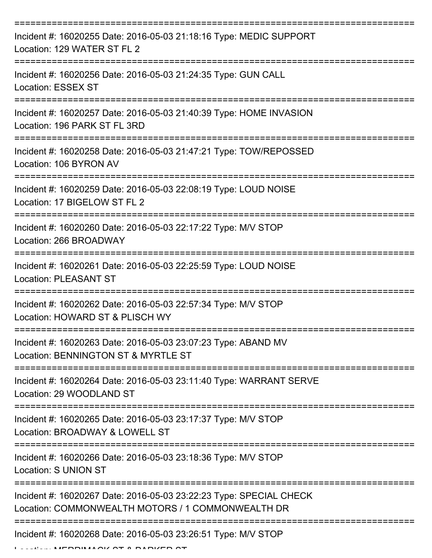| Incident #: 16020255 Date: 2016-05-03 21:18:16 Type: MEDIC SUPPORT<br>Location: 129 WATER ST FL 2                                                                                                                                                                                                                                                                                                                                                                                                 |
|---------------------------------------------------------------------------------------------------------------------------------------------------------------------------------------------------------------------------------------------------------------------------------------------------------------------------------------------------------------------------------------------------------------------------------------------------------------------------------------------------|
| Incident #: 16020256 Date: 2016-05-03 21:24:35 Type: GUN CALL<br><b>Location: ESSEX ST</b>                                                                                                                                                                                                                                                                                                                                                                                                        |
| Incident #: 16020257 Date: 2016-05-03 21:40:39 Type: HOME INVASION<br>Location: 196 PARK ST FL 3RD                                                                                                                                                                                                                                                                                                                                                                                                |
| Incident #: 16020258 Date: 2016-05-03 21:47:21 Type: TOW/REPOSSED<br>Location: 106 BYRON AV                                                                                                                                                                                                                                                                                                                                                                                                       |
| Incident #: 16020259 Date: 2016-05-03 22:08:19 Type: LOUD NOISE<br>Location: 17 BIGELOW ST FL 2                                                                                                                                                                                                                                                                                                                                                                                                   |
| Incident #: 16020260 Date: 2016-05-03 22:17:22 Type: M/V STOP<br>Location: 266 BROADWAY                                                                                                                                                                                                                                                                                                                                                                                                           |
| Incident #: 16020261 Date: 2016-05-03 22:25:59 Type: LOUD NOISE<br><b>Location: PLEASANT ST</b>                                                                                                                                                                                                                                                                                                                                                                                                   |
| Incident #: 16020262 Date: 2016-05-03 22:57:34 Type: M/V STOP<br>Location: HOWARD ST & PLISCH WY                                                                                                                                                                                                                                                                                                                                                                                                  |
| Incident #: 16020263 Date: 2016-05-03 23:07:23 Type: ABAND MV<br>Location: BENNINGTON ST & MYRTLE ST                                                                                                                                                                                                                                                                                                                                                                                              |
| Incident #: 16020264 Date: 2016-05-03 23:11:40 Type: WARRANT SERVE<br>Location: 29 WOODLAND ST                                                                                                                                                                                                                                                                                                                                                                                                    |
| Incident #: 16020265 Date: 2016-05-03 23:17:37 Type: M/V STOP<br>Location: BROADWAY & LOWELL ST                                                                                                                                                                                                                                                                                                                                                                                                   |
| Incident #: 16020266 Date: 2016-05-03 23:18:36 Type: M/V STOP<br>Location: S UNION ST                                                                                                                                                                                                                                                                                                                                                                                                             |
| Incident #: 16020267 Date: 2016-05-03 23:22:23 Type: SPECIAL CHECK<br>Location: COMMONWEALTH MOTORS / 1 COMMONWEALTH DR                                                                                                                                                                                                                                                                                                                                                                           |
| Incident #: 16020268 Date: 2016-05-03 23:26:51 Type: M/V STOP<br>$\begin{array}{c} \textbf{A} & \textbf{B} & \textbf{B} & \textbf{B} & \textbf{B} & \textbf{B} & \textbf{B} & \textbf{B} & \textbf{B} & \textbf{B} & \textbf{B} & \textbf{B} & \textbf{B} & \textbf{B} & \textbf{B} & \textbf{B} & \textbf{B} & \textbf{B} & \textbf{B} & \textbf{B} & \textbf{B} & \textbf{B} & \textbf{B} & \textbf{B} & \textbf{B} & \textbf{B} & \textbf{B} & \textbf{B} & \textbf{B} & \textbf{B} & \textbf$ |